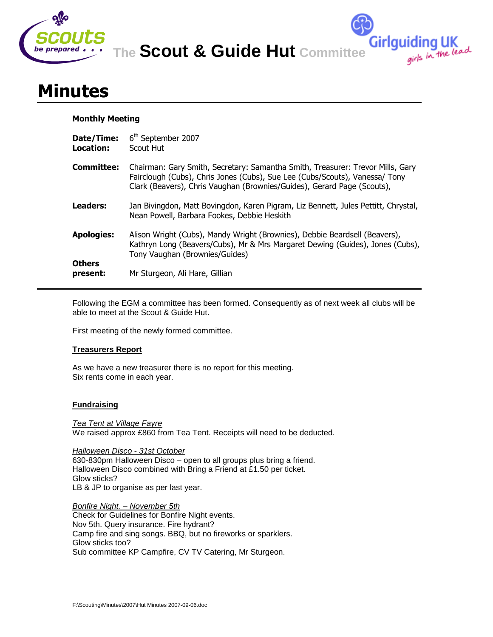

**The Scout & Guide Hut Committee**

**Girlguiding UK**<br>girls in the lead

# **Minutes**

# **Monthly Meeting**

| Date/Time:<br>Location: | 6 <sup>th</sup> September 2007<br>Scout Hut                                                                                                                                                                                              |
|-------------------------|------------------------------------------------------------------------------------------------------------------------------------------------------------------------------------------------------------------------------------------|
| Committee:              | Chairman: Gary Smith, Secretary: Samantha Smith, Treasurer: Trevor Mills, Gary<br>Fairclough (Cubs), Chris Jones (Cubs), Sue Lee (Cubs/Scouts), Vanessa/ Tony<br>Clark (Beavers), Chris Vaughan (Brownies/Guides), Gerard Page (Scouts), |
| Leaders:                | Jan Bivingdon, Matt Bovingdon, Karen Pigram, Liz Bennett, Jules Pettitt, Chrystal,<br>Nean Powell, Barbara Fookes, Debbie Heskith                                                                                                        |
| <b>Apologies:</b>       | Alison Wright (Cubs), Mandy Wright (Brownies), Debbie Beardsell (Beavers),<br>Kathryn Long (Beavers/Cubs), Mr & Mrs Margaret Dewing (Guides), Jones (Cubs),<br>Tony Vaughan (Brownies/Guides)                                            |
| Others<br>present:      | Mr Sturgeon, Ali Hare, Gillian                                                                                                                                                                                                           |

Following the EGM a committee has been formed. Consequently as of next week all clubs will be able to meet at the Scout & Guide Hut.

First meeting of the newly formed committee.

# **Treasurers Report**

As we have a new treasurer there is no report for this meeting. Six rents come in each year.

# **Fundraising**

*Tea Tent at Village Fayre* We raised approx £860 from Tea Tent. Receipts will need to be deducted.

*Halloween Disco - 31st October* 630-830pm Halloween Disco – open to all groups plus bring a friend. Halloween Disco combined with Bring a Friend at £1.50 per ticket. Glow sticks? LB & JP to organise as per last year.

*Bonfire Night. – November 5th* Check for Guidelines for Bonfire Night events. Nov 5th. Query insurance. Fire hydrant? Camp fire and sing songs. BBQ, but no fireworks or sparklers. Glow sticks too? Sub committee KP Campfire, CV TV Catering, Mr Sturgeon.